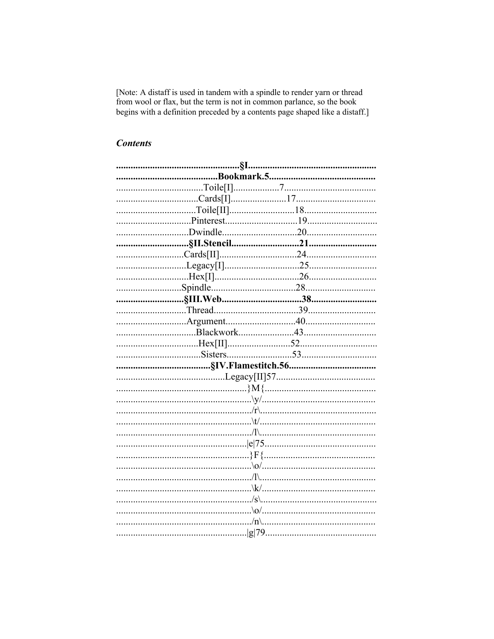[Note: A distaff is used in tandem with a spindle to render yarn or thread from wool or flax, but the term is not in common parlance, so the book begins with a definition preceded by a contents page shaped like a distaff.]

# **Contents**

| .§I. |  |
|------|--|
|      |  |
|      |  |
|      |  |
|      |  |
|      |  |
|      |  |
|      |  |
|      |  |
|      |  |
|      |  |
|      |  |
|      |  |
|      |  |
|      |  |
|      |  |
|      |  |
|      |  |
|      |  |
|      |  |
|      |  |
|      |  |
|      |  |
|      |  |
|      |  |
|      |  |
|      |  |
|      |  |
|      |  |
|      |  |
|      |  |
|      |  |
|      |  |
|      |  |
|      |  |
|      |  |
|      |  |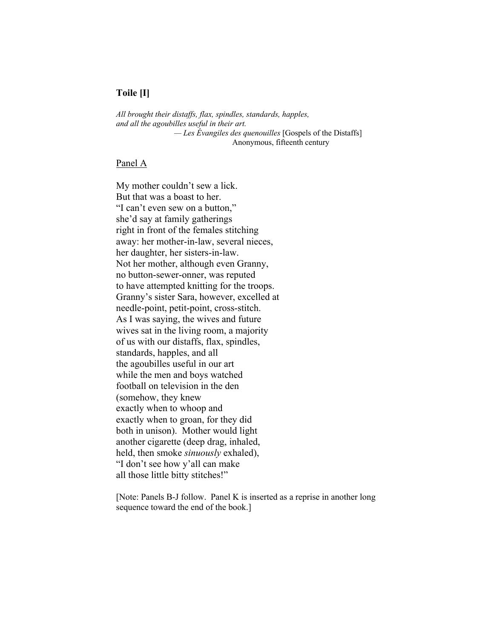## **Toile [I]**

*All brought their distaffs, flax, spindles, standards, happles, and all the agoubilles useful in their art. — Les Évangiles des quenouilles* [Gospels of the Distaffs] Anonymous, fifteenth century

#### Panel A

My mother couldn't sew a lick. But that was a boast to her. "I can't even sew on a button," she'd say at family gatherings right in front of the females stitching away: her mother-in-law, several nieces, her daughter, her sisters-in-law. Not her mother, although even Granny, no button-sewer-onner, was reputed to have attempted knitting for the troops. Granny's sister Sara, however, excelled at needle-point, petit-point, cross-stitch. As I was saying, the wives and future wives sat in the living room, a majority of us with our distaffs, flax, spindles, standards, happles, and all the agoubilles useful in our art while the men and boys watched football on television in the den (somehow, they knew exactly when to whoop and exactly when to groan, for they did both in unison). Mother would light another cigarette (deep drag, inhaled, held, then smoke *sinuously* exhaled), "I don't see how y'all can make all those little bitty stitches!"

[Note: Panels B-J follow. Panel K is inserted as a reprise in another long sequence toward the end of the book.]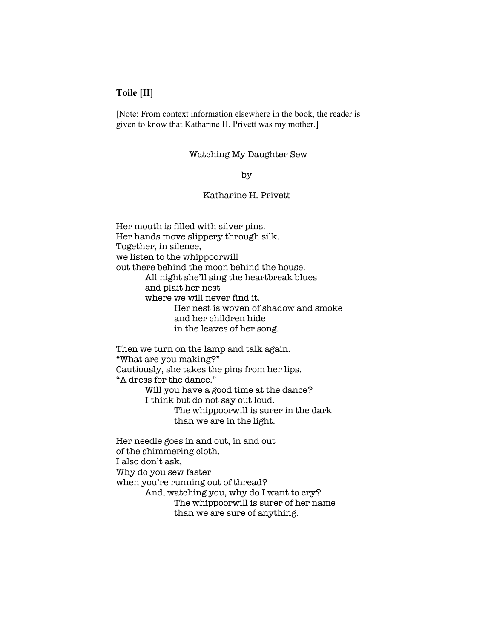## **Toile [II]**

[Note: From context information elsewhere in the book, the reader is given to know that Katharine H. Privett was my mother.]

#### Watching My Daughter Sew

by

## Katharine H. Privett

Her mouth is filled with silver pins. Her hands move slippery through silk. Together, in silence, we listen to the whippoorwill out there behind the moon behind the house. All night she'll sing the heartbreak blues and plait her nest where we will never find it. Her nest is woven of shadow and smoke and her children hide in the leaves of her song. Then we turn on the lamp and talk again. "What are you making?" Cautiously, she takes the pins from her lips. "A dress for the dance." Will you have a good time at the dance? I think but do not say out loud. The whippoorwill is surer in the dark

Her needle goes in and out, in and out of the shimmering cloth. I also don't ask, Why do you sew faster when you're running out of thread? And, watching you, why do I want to cry? The whippoorwill is surer of her name than we are sure of anything.

than we are in the light.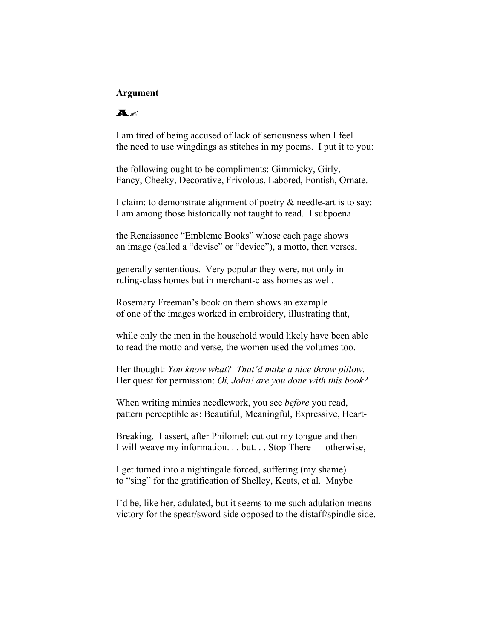### **Argument**

## $A$

I am tired of being accused of lack of seriousness when I feel the need to use wingdings as stitches in my poems. I put it to you:

the following ought to be compliments: Gimmicky, Girly, Fancy, Cheeky, Decorative, Frivolous, Labored, Fontish, Ornate.

I claim: to demonstrate alignment of poetry & needle-art is to say: I am among those historically not taught to read. I subpoena

the Renaissance "Embleme Books" whose each page shows an image (called a "devise" or "device"), a motto, then verses,

generally sententious. Very popular they were, not only in ruling-class homes but in merchant-class homes as well.

Rosemary Freeman's book on them shows an example of one of the images worked in embroidery, illustrating that,

while only the men in the household would likely have been able to read the motto and verse, the women used the volumes too.

Her thought: *You know what? That'd make a nice throw pillow.* Her quest for permission: *Oi, John! are you done with this book?*

When writing mimics needlework, you see *before* you read, pattern perceptible as: Beautiful, Meaningful, Expressive, Heart-

Breaking. I assert, after Philomel: cut out my tongue and then I will weave my information. . . but. . . Stop There — otherwise,

I get turned into a nightingale forced, suffering (my shame) to "sing" for the gratification of Shelley, Keats, et al. Maybe

I'd be, like her, adulated, but it seems to me such adulation means victory for the spear/sword side opposed to the distaff/spindle side.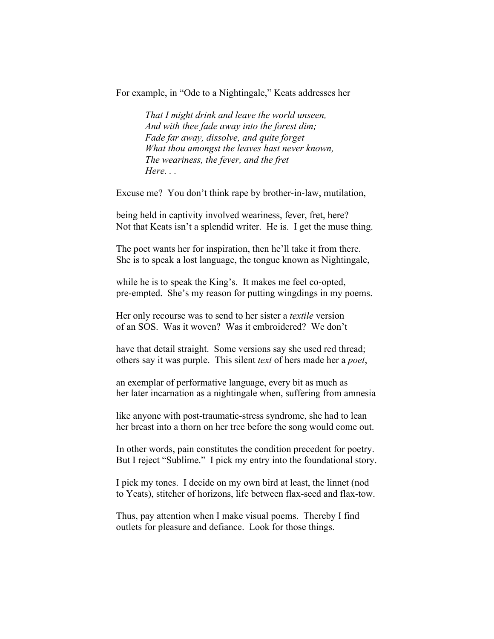For example, in "Ode to a Nightingale," Keats addresses her

 *That I might drink and leave the world unseen, And with thee fade away into the forest dim; Fade far away, dissolve, and quite forget What thou amongst the leaves hast never known, The weariness, the fever, and the fret Here.* ...

Excuse me? You don't think rape by brother-in-law, mutilation,

being held in captivity involved weariness, fever, fret, here? Not that Keats isn't a splendid writer. He is. I get the muse thing.

The poet wants her for inspiration, then he'll take it from there. She is to speak a lost language, the tongue known as Nightingale,

while he is to speak the King's. It makes me feel co-opted, pre-empted. She's my reason for putting wingdings in my poems.

Her only recourse was to send to her sister a *textile* version of an SOS. Was it woven? Was it embroidered? We don't

have that detail straight. Some versions say she used red thread; others say it was purple. This silent *text* of hers made her a *poet*,

an exemplar of performative language, every bit as much as her later incarnation as a nightingale when, suffering from amnesia

like anyone with post-traumatic-stress syndrome, she had to lean her breast into a thorn on her tree before the song would come out.

In other words, pain constitutes the condition precedent for poetry. But I reject "Sublime." I pick my entry into the foundational story.

I pick my tones. I decide on my own bird at least, the linnet (nod to Yeats), stitcher of horizons, life between flax-seed and flax-tow.

Thus, pay attention when I make visual poems. Thereby I find outlets for pleasure and defiance. Look for those things.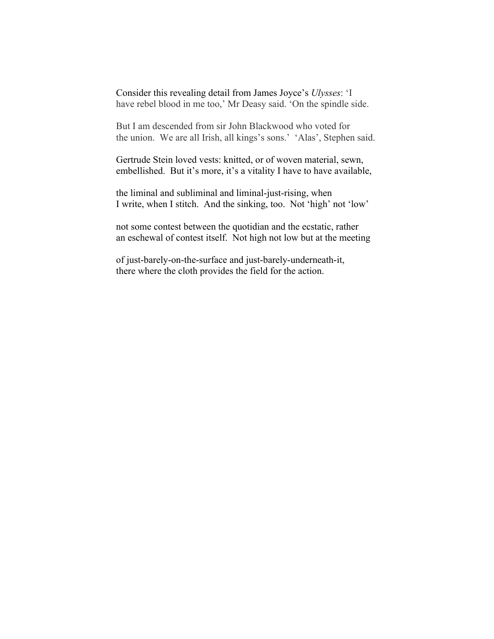Consider this revealing detail from James Joyce's *Ulysses*: 'I have rebel blood in me too,' Mr Deasy said. 'On the spindle side.

But I am descended from sir John Blackwood who voted for the union. We are all Irish, all kings's sons.' 'Alas', Stephen said.

Gertrude Stein loved vests: knitted, or of woven material, sewn, embellished. But it's more, it's a vitality I have to have available,

the liminal and subliminal and liminal-just-rising, when I write, when I stitch. And the sinking, too.Not 'high' not 'low'

not some contest between the quotidian and the ecstatic, rather an eschewal of contest itself. Not high not low but at the meeting

of just-barely-on-the-surface and just-barely-underneath-it, there where the cloth provides the field for the action.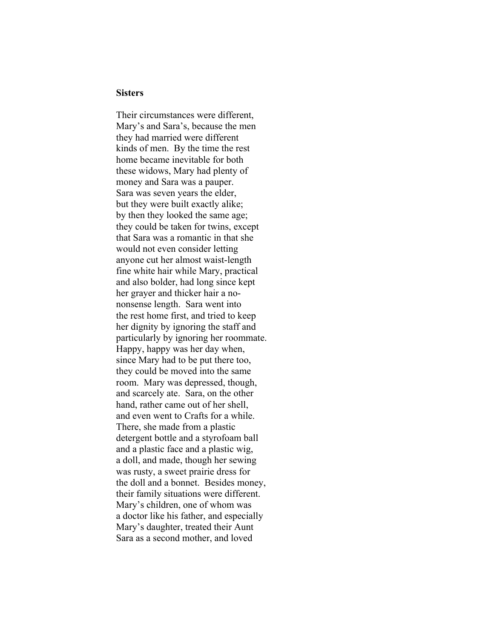#### **Sisters**

Their circumstances were different, Mary's and Sara's, because the men they had married were different kinds of men. By the time the rest home became inevitable for both these widows, Mary had plenty of money and Sara was a pauper. Sara was seven years the elder, but they were built exactly alike; by then they looked the same age; they could be taken for twins, except that Sara was a romantic in that she would not even consider letting anyone cut her almost waist-length fine white hair while Mary, practical and also bolder, had long since kept her grayer and thicker hair a nononsense length. Sara went into the rest home first, and tried to keep her dignity by ignoring the staff and particularly by ignoring her roommate. Happy, happy was her day when, since Mary had to be put there too, they could be moved into the same room. Mary was depressed, though, and scarcely ate. Sara, on the other hand, rather came out of her shell, and even went to Crafts for a while. There, she made from a plastic detergent bottle and a styrofoam ball and a plastic face and a plastic wig, a doll, and made, though her sewing was rusty, a sweet prairie dress for the doll and a bonnet. Besides money, their family situations were different. Mary's children, one of whom was a doctor like his father, and especially Mary's daughter, treated their Aunt Sara as a second mother, and loved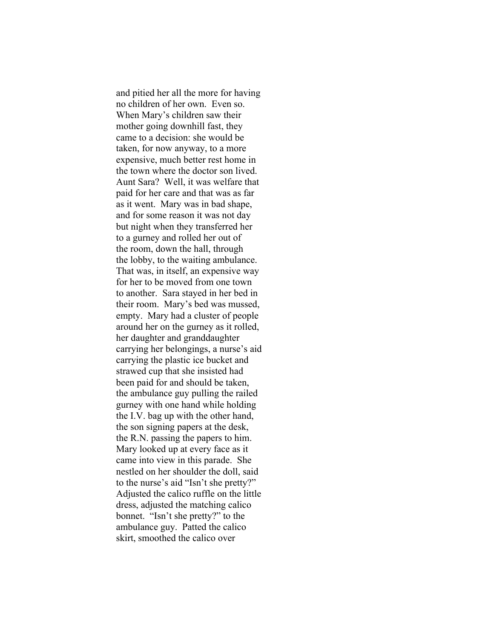and pitied her all the more for having no children of her own. Even so. When Mary's children saw their mother going downhill fast, they came to a decision: she would be taken, for now anyway, to a more expensive, much better rest home in the town where the doctor son lived. Aunt Sara? Well, it was welfare that paid for her care and that was as far as it went. Mary was in bad shape, and for some reason it was not day but night when they transferred her to a gurney and rolled her out of the room, down the hall, through the lobby, to the waiting ambulance. That was, in itself, an expensive way for her to be moved from one town to another. Sara stayed in her bed in their room. Mary's bed was mussed, empty. Mary had a cluster of people around her on the gurney as it rolled, her daughter and granddaughter carrying her belongings, a nurse's aid carrying the plastic ice bucket and strawed cup that she insisted had been paid for and should be taken, the ambulance guy pulling the railed gurney with one hand while holding the I.V. bag up with the other hand, the son signing papers at the desk, the R.N. passing the papers to him. Mary looked up at every face as it came into view in this parade. She nestled on her shoulder the doll, said to the nurse's aid "Isn't she pretty?" Adjusted the calico ruffle on the little dress, adjusted the matching calico bonnet. "Isn't she pretty?" to the ambulance guy. Patted the calico skirt, smoothed the calico over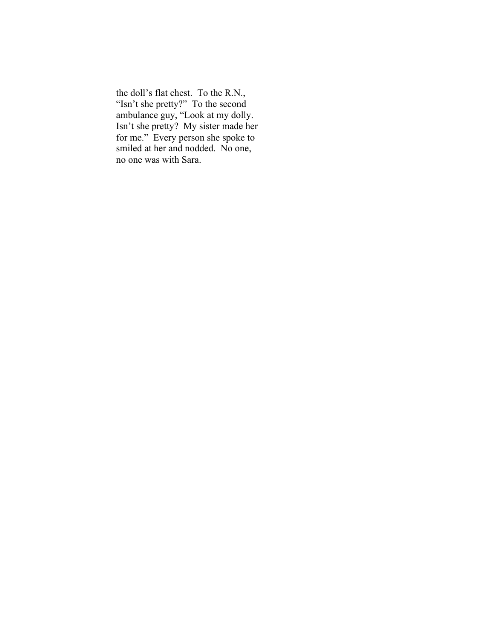the doll's flat chest. To the R.N., "Isn't she pretty?" To the second ambulance guy, "Look at my dolly. Isn't she pretty? My sister made her for me." Every person she spoke to smiled at her and nodded. No one, no one was with Sara.